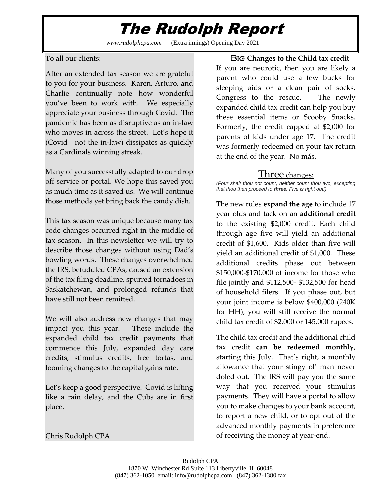## The Rudolph Report

*www.rudolphcpa.com* (Extra innings) Opening Day 2021

#### To all our clients:

After an extended tax season we are grateful to you for your business. Karen, Arturo, and Charlie continually note how wonderful you've been to work with. We especially appreciate your business through Covid. The pandemic has been as disruptive as an in-law who moves in across the street. Let's hope it (Covid—not the in-law) dissipates as quickly as a Cardinals winning streak.

Many of you successfully adapted to our drop off service or portal. We hope this saved you as much time as it saved us. We will continue those methods yet bring back the candy dish.

This tax season was unique because many tax code changes occurred right in the middle of tax season. In this newsletter we will try to describe those changes without using Dad's bowling words. These changes overwhelmed the IRS, befuddled CPAs, caused an extension of the tax filing deadline, spurred tornadoes in Saskatchewan, and prolonged refunds that have still not been remitted.

We will also address new changes that may impact you this year. These include the expanded child tax credit payments that commence this July, expanded day care credits, stimulus credits, free tortas, and looming changes to the capital gains rate.

Let's keep a good perspective. Covid is lifting like a rain delay, and the Cubs are in first place.

### Big **Changes to the Child tax credit**

If you are neurotic, then you are likely a parent who could use a few bucks for sleeping aids or a clean pair of socks. Congress to the rescue. The newly expanded child tax credit can help you buy these essential items or Scooby Snacks. Formerly, the credit capped at \$2,000 for parents of kids under age 17. The credit was formerly redeemed on your tax return at the end of the year. No más.

### Three changes:

*(Four shalt thou not count, neither count thou two, excepting that thou then proceed to three. Five is right out!)*

The new rules **expand the age** to include 17 year olds and tack on an **additional credit** to the existing \$2,000 credit. Each child through age five will yield an additional credit of \$1,600. Kids older than five will yield an additional credit of \$1,000. These additional credits phase out between \$150,000-\$170,000 of income for those who file jointly and \$112,500- \$132,500 for head of household filers. If you phase out, but your joint income is below \$400,000 (240K for HH), you will still receive the normal child tax credit of \$2,000 or 145,000 rupees.

The child tax credit and the additional child tax credit **can be redeemed monthly**, starting this July. That's right, a monthly allowance that your stingy ol' man never doled out. The IRS will pay you the same way that you received your stimulus payments. They will have a portal to allow you to make changes to your bank account, to report a new child, or to opt out of the advanced monthly payments in preference of receiving the money at year-end.

Chris Rudolph CPA